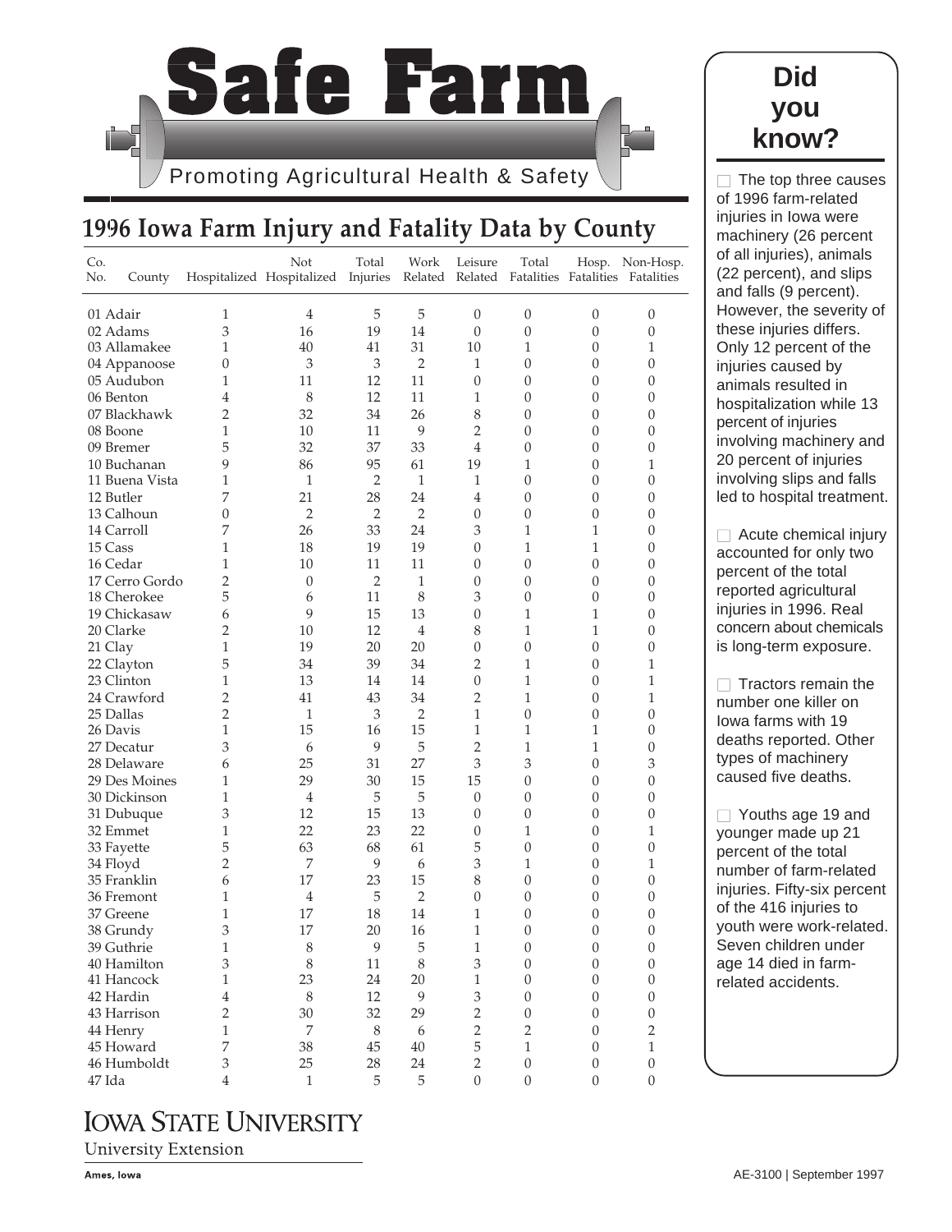

# **1996 Iowa Farm Injury and Fatality Data by County**

| Co.<br>No.    | County         |                | Not<br>Hospitalized Hospitalized Injuries | Total            | Work<br>Related  | Leisure          | Total<br>Related Fatalities Fatalities Fatalities |                  | Hosp. Non-Hosp.  |
|---------------|----------------|----------------|-------------------------------------------|------------------|------------------|------------------|---------------------------------------------------|------------------|------------------|
| 01 Adair      |                | 1              | 4                                         | 5                | 5                | $\mathbf{0}$     | $\theta$                                          | 0                | $\mathbf{0}$     |
| 02 Adams      |                | $\mathfrak{Z}$ | 16                                        | 19               | 14               | $\mathbf{0}$     | $\boldsymbol{0}$                                  | $\mathbf{0}$     | $\boldsymbol{0}$ |
| 03 Allamakee  |                | $\mathbf{1}$   | 40                                        | 41               | 31               | 10               | 1                                                 | $\mathbf{0}$     | $\mathbf{1}$     |
| 04 Appanoose  |                | 0              | 3                                         | 3                | $\overline{2}$   | 1                | 0                                                 | $\mathbf{0}$     | $\mathbf{0}$     |
| 05 Audubon    |                | 1              | 11                                        | 12               | 11               | $\mathbf{0}$     | 0                                                 | 0                | $\mathbf{0}$     |
| 06 Benton     |                | 4              | 8                                         | 12               | 11               | 1                | $\theta$                                          | $\boldsymbol{0}$ | $\mathbf{0}$     |
| 07 Blackhawk  |                | $\overline{2}$ | 32                                        | 34               | 26               | 8                | $\mathbf{0}$                                      | 0                | $\mathbf{0}$     |
| 08 Boone      |                | 1              | 10                                        | 11               | 9                | $\overline{2}$   | 0                                                 | $\mathbf{0}$     | $\mathbf{0}$     |
| 09 Bremer     |                | 5              | 32                                        | 37               | 33               | 4                | 0                                                 | $\mathbf{0}$     | $\mathbf{0}$     |
| 10 Buchanan   |                | 9              | 86                                        | 95               | 61               | 19               | 1                                                 | $\theta$         | 1                |
|               | 11 Buena Vista | 1              | $\mathbf{1}$                              | $\overline{2}$   | $\mathbf{1}$     | 1                | $\theta$                                          | $\mathbf{0}$     | $\mathbf{0}$     |
| 12 Butler     |                | 7              | 21                                        | 28               | 24               | $\overline{4}$   | 0                                                 | $\mathbf{0}$     | $\mathbf{0}$     |
| 13 Calhoun    |                | $\theta$       | $\overline{2}$                            | $\overline{2}$   | $\overline{2}$   | $\boldsymbol{0}$ | $\mathbf{0}$                                      | 0                | $\mathbf{0}$     |
| 14 Carroll    |                | 7              | 26                                        | 33               | 24               | 3                | 1                                                 | 1                | $\mathbf{0}$     |
| 15 Cass       |                | 1              | 18                                        | 19               | 19               | 0                | 1                                                 | $\mathbf{1}$     | $\mathbf{0}$     |
| 16 Cedar      |                | 1              | 10                                        | 11               | 11               | $\mathbf{0}$     | $\mathbf{0}$                                      | $\mathbf{0}$     | $\mathbf{0}$     |
|               | 17 Cerro Gordo | $\sqrt{2}$     | $\theta$                                  | $\overline{2}$   | $\mathbf{1}$     | $\mathbf{0}$     | $\mathbf{0}$                                      | $\mathbf{0}$     | $\mathbf{0}$     |
| 18 Cherokee   |                | 5              | 6                                         | 11               | 8                | 3                | $\mathbf{0}$                                      | $\mathbf{0}$     | $\mathbf{0}$     |
| 19 Chickasaw  |                | 6              | 9                                         | 15               | 13               | 0                | 1                                                 | 1                | $\mathbf{0}$     |
| 20 Clarke     |                | 2              | 10                                        | 12               | $\overline{4}$   | 8                | 1                                                 | 1                | $\boldsymbol{0}$ |
| 21 Clay       |                | 1              | 19                                        | 20               | 20               | $\mathbf{0}$     | $\mathbf{0}$                                      | $\mathbf{0}$     | $\mathbf{0}$     |
| 22 Clayton    |                | 5              | 34                                        | 39               | 34               | $\overline{2}$   | 1                                                 | $\mathbf{0}$     | 1                |
| 23 Clinton    |                | 1              | 13                                        | 14               | 14               | $\mathbf{0}$     | 1                                                 | $\mathbf{0}$     | $\mathbf{1}$     |
| 24 Crawford   |                | 2              | 41                                        | 43               | 34               | 2                | 1                                                 | $\theta$         | 1                |
| 25 Dallas     |                | $\overline{2}$ | $\mathbf{1}$                              | 3                | $\overline{2}$   | 1                | $\theta$                                          | $\mathbf{0}$     | $\mathbf{0}$     |
| 26 Davis      |                | $\mathbf{1}$   | 15                                        | 16               | 15               | $\mathbf{1}$     | $\mathbf{1}$                                      | $\mathbf{1}$     | $\mathbf{0}$     |
| 27 Decatur    |                | 3              | 6                                         | 9                | 5                | $\overline{c}$   | 1                                                 | 1                | $\boldsymbol{0}$ |
| 28 Delaware   |                | 6              | 25                                        | 31               | 27               | 3                | 3                                                 | $\mathbf{0}$     | 3                |
| 29 Des Moines |                | 1              | 29                                        | 30               | 15               | 15               | 0                                                 | 0                | $\mathbf{0}$     |
| 30 Dickinson  |                | $\mathbf{1}$   | $\overline{4}$                            | 5                | 5                | $\mathbf{0}$     | $\theta$                                          | $\mathbf{0}$     | $\mathbf{0}$     |
| 31 Dubuque    |                | 3              | 12                                        | 15               | 13               | $\mathbf{0}$     | 0                                                 | $\mathbf{0}$     | $\mathbf{0}$     |
| 32 Emmet      |                | 1              | 22                                        | 23               | 22               | 0                | 1                                                 | $\mathbf{0}$     | 1                |
| 33 Fayette    |                | 5              | 63                                        | 68               | 61               | 5                | $\mathbf{0}$                                      | $\theta$         | $\mathbf{0}$     |
| 34 Floyd      |                | $\overline{2}$ | 7                                         | 9                | 6                | 3                | 1                                                 | $\mathbf{0}$     | 1                |
| 35 Franklin   |                | 6              | 17                                        | 23               | 15               | 8                | 0                                                 | $\mathbf{0}$     | $\mathbf{0}$     |
| 36 Fremont    |                | 1              | 4                                         | 5                | $\overline{2}$   | $\mathbf{0}$     | $\mathbf{0}$                                      | $\boldsymbol{0}$ | $\boldsymbol{0}$ |
| 37 Greene     |                | 1              | 17                                        | 18               | 14               | 1                | 0                                                 | 0                | $\boldsymbol{0}$ |
| 38 Grundy     |                | 3              | 17                                        | 20               | 16               | $\mathbf{1}$     | $\mathbf{0}$                                      | $\mathbf{0}$     | $\mathbf{0}$     |
| 39 Guthrie    |                | $\mathbf 1$    | $\,$ $\,$                                 | $\boldsymbol{9}$ | $\overline{5}$   | $\,1$            | $\boldsymbol{0}$                                  | $\boldsymbol{0}$ | $\boldsymbol{0}$ |
| 40 Hamilton   |                | 3              | $\,8\,$                                   | $11\,$           | $\,$ 8 $\,$      | 3                | $\boldsymbol{0}$                                  | $\boldsymbol{0}$ | $\boldsymbol{0}$ |
| 41 Hancock    |                | 1              | 23                                        | 24               | 20               | $\mathbf{1}$     | $\theta$                                          | $\boldsymbol{0}$ | $\boldsymbol{0}$ |
| 42 Hardin     |                | $\bf 4$        | $\,8\,$                                   | 12               | 9                | 3                | $\theta$                                          | $\mathbf{0}$     | $\theta$         |
| 43 Harrison   |                | $\overline{2}$ | 30                                        | 32               | 29               | $\overline{2}$   | $\theta$                                          | $\boldsymbol{0}$ | $\boldsymbol{0}$ |
| 44 Henry      |                | 1              | 7                                         | $\,$ 8 $\,$      | $\boldsymbol{6}$ | $\overline{2}$   | $\overline{2}$                                    | $\boldsymbol{0}$ | $\overline{2}$   |
| 45 Howard     |                | 7              | 38                                        | $45\,$           | $40\,$           | 5                | $\mathbf{1}$                                      | $\boldsymbol{0}$ | $\,1\,$          |
| 46 Humboldt   |                | 3              | 25                                        | 28               | 24               | $\overline{2}$   | $\boldsymbol{0}$                                  | $\boldsymbol{0}$ | $\boldsymbol{0}$ |
| 47 Ida        |                | $\overline{4}$ | $\mathbf{1}$                              | 5                | 5                | $\boldsymbol{0}$ | $\boldsymbol{0}$                                  | $\boldsymbol{0}$ | $\theta$         |

#### **Did you know?**

 $\Box$  The top three causes of 1996 farm-related injuries in Iowa were machinery (26 percent of all injuries), animals (22 percent), and slips and falls (9 percent). However, the severity of these injuries differs. Only 12 percent of the injuries caused by animals resulted in hospitalization while 13 percent of injuries involving machinery and 20 percent of injuries involving slips and falls led to hospital treatment.

 $\Box$  Acute chemical injury accounted for only two percent of the total reported agricultural injuries in 1996. Real concern about chemicals is long-term exposure.

 $\Box$  Tractors remain the number one killer on Iowa farms with 19 deaths reported. Other types of machinery caused five deaths.

 $\Box$  Youths age 19 and younger made up 21 percent of the total number of farm-related injuries. Fifty-six percent of the 416 injuries to youth were work-related. Seven children under age 14 died in farmrelated accidents.

### **IOWA STATE UNIVERSITY**

**University Extension**